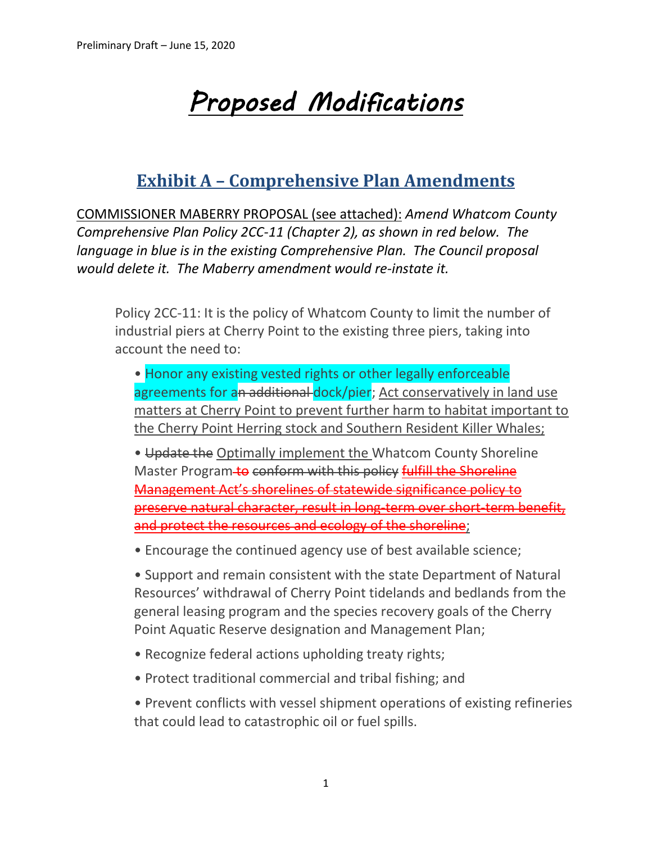# *Proposed Modifications*

## **Exhibit A – Comprehensive Plan Amendments**

COMMISSIONER MABERRY PROPOSAL (see attached): *Amend Whatcom County Comprehensive Plan Policy 2CC-11 (Chapter 2), as shown in red below. The language in blue is in the existing Comprehensive Plan. The Council proposal would delete it. The Maberry amendment would re-instate it.*

Policy 2CC-11: It is the policy of Whatcom County to limit the number of industrial piers at Cherry Point to the existing three piers, taking into account the need to:

• Honor any existing vested rights or other legally enforceable agreements for an additional dock/pier; Act conservatively in land use matters at Cherry Point to prevent further harm to habitat important to the Cherry Point Herring stock and Southern Resident Killer Whales;

• Update the Optimally implement the Whatcom County Shoreline Master Program-to conform with this policy fulfill the Shoreline Management Act's shorelines of statewide significance policy to preserve natural character, result in long-term over short-term benefit, and protect the resources and ecology of the shoreline;

• Encourage the continued agency use of best available science;

• Support and remain consistent with the state Department of Natural Resources' withdrawal of Cherry Point tidelands and bedlands from the general leasing program and the species recovery goals of the Cherry Point Aquatic Reserve designation and Management Plan;

- Recognize federal actions upholding treaty rights;
- Protect traditional commercial and tribal fishing; and

• Prevent conflicts with vessel shipment operations of existing refineries that could lead to catastrophic oil or fuel spills.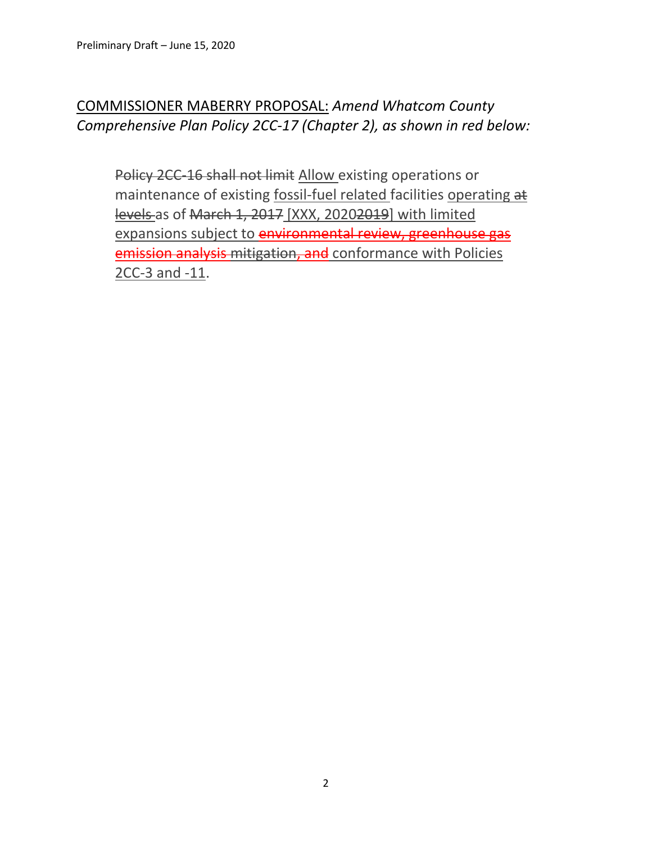### COMMISSIONER MABERRY PROPOSAL: *Amend Whatcom County Comprehensive Plan Policy 2CC-17 (Chapter 2), as shown in red below:*

Policy 2CC-16 shall not limit Allow existing operations or maintenance of existing fossil-fuel related facilities operating at levels as of March 1, 2017 [XXX, 20202019] with limited expansions subject to environmental review, greenhouse gas emission analysis mitigation, and conformance with Policies 2CC-3 and -11.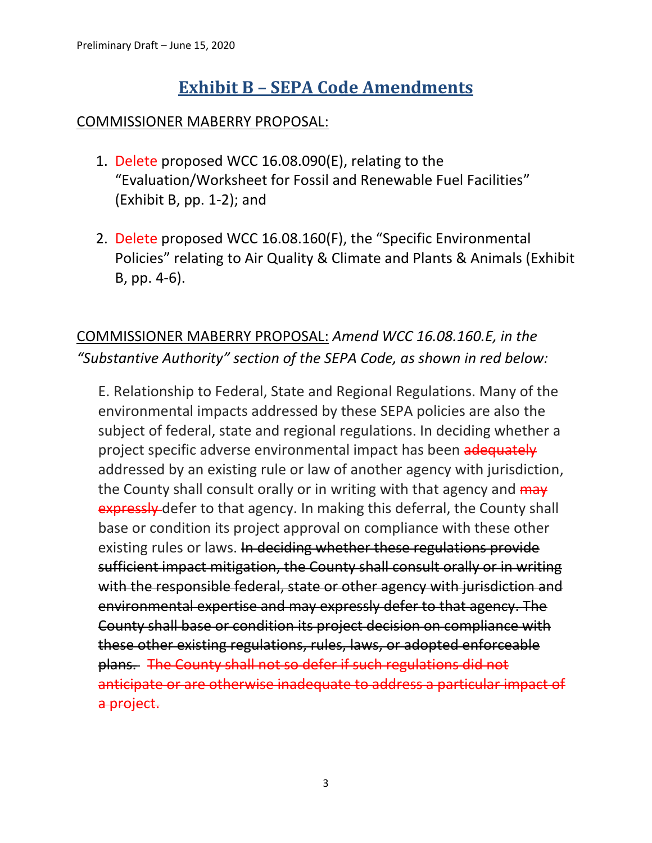## **Exhibit B – SEPA Code Amendments**

#### COMMISSIONER MABERRY PROPOSAL:

- 1. Delete proposed WCC 16.08.090(E), relating to the "Evaluation/Worksheet for Fossil and Renewable Fuel Facilities" (Exhibit B, pp. 1-2); and
- 2. Delete proposed WCC 16.08.160(F), the "Specific Environmental Policies" relating to Air Quality & Climate and Plants & Animals (Exhibit B, pp. 4-6).

## COMMISSIONER MABERRY PROPOSAL: *Amend WCC 16.08.160.E, in the "Substantive Authority" section of the SEPA Code, as shown in red below:*

E. Relationship to Federal, State and Regional Regulations. Many of the environmental impacts addressed by these SEPA policies are also the subject of federal, state and regional regulations. In deciding whether a project specific adverse environmental impact has been adequately addressed by an existing rule or law of another agency with jurisdiction, the County shall consult orally or in writing with that agency and  $\frac{m}{w}$ expressly defer to that agency. In making this deferral, the County shall base or condition its project approval on compliance with these other existing rules or laws. In deciding whether these regulations provide sufficient impact mitigation, the County shall consult orally or in writing with the responsible federal, state or other agency with jurisdiction and environmental expertise and may expressly defer to that agency. The County shall base or condition its project decision on compliance with these other existing regulations, rules, laws, or adopted enforceable plans. The County shall not so defer if such regulations did not anticipate or are otherwise inadequate to address a particular impact of a project.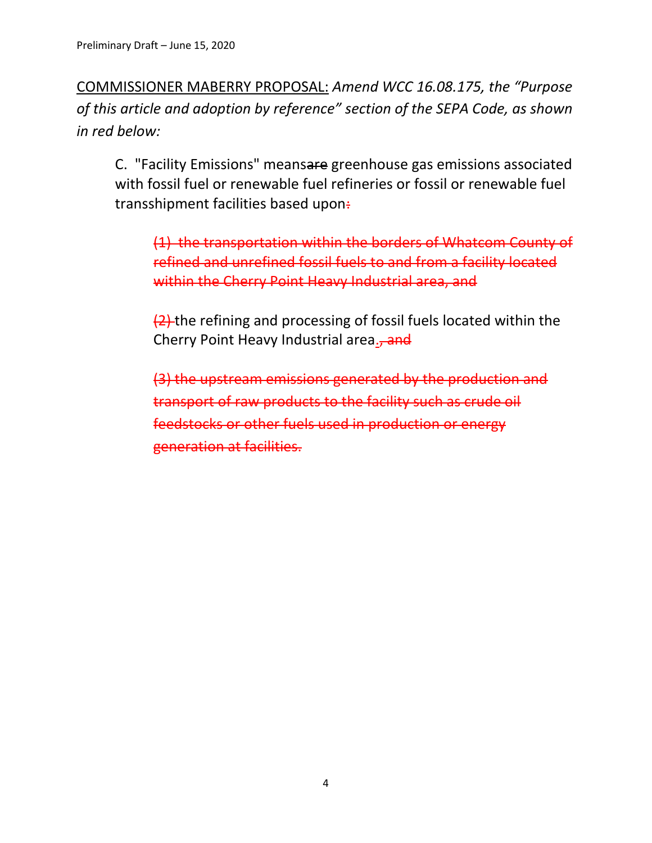COMMISSIONER MABERRY PROPOSAL: *Amend WCC 16.08.175, the "Purpose of this article and adoption by reference" section of the SEPA Code, as shown in red below:*

C. "Facility Emissions" meansare greenhouse gas emissions associated with fossil fuel or renewable fuel refineries or fossil or renewable fuel transshipment facilities based upon:

(1) the transportation within the borders of Whatcom County of refined and unrefined fossil fuels to and from a facility located within the Cherry Point Heavy Industrial area, and

(2) the refining and processing of fossil fuels located within the Cherry Point Heavy Industrial area., and

(3) the upstream emissions generated by the production and transport of raw products to the facility such as crude oil feedstocks or other fuels used in production or energy generation at facilities.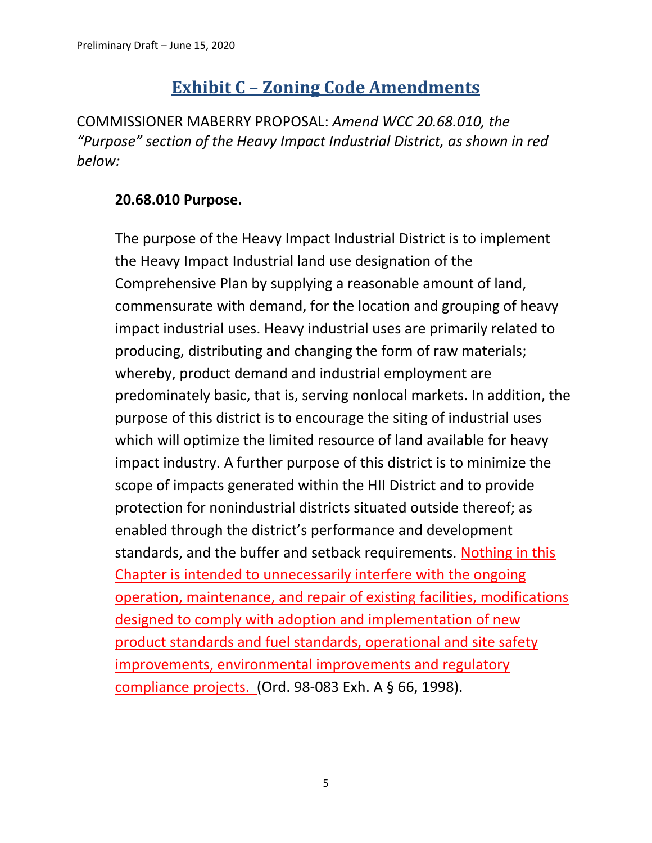# **Exhibit C – Zoning Code Amendments**

COMMISSIONER MABERRY PROPOSAL: *Amend WCC 20.68.010, the "Purpose" section of the Heavy Impact Industrial District, as shown in red below:*

#### **20.68.010 Purpose.**

The purpose of the Heavy Impact Industrial District is to implement the Heavy Impact Industrial land use designation of the Comprehensive Plan by supplying a reasonable amount of land, commensurate with demand, for the location and grouping of heavy impact industrial uses. Heavy industrial uses are primarily related to producing, distributing and changing the form of raw materials; whereby, product demand and industrial employment are predominately basic, that is, serving nonlocal markets. In addition, the purpose of this district is to encourage the siting of industrial uses which will optimize the limited resource of land available for heavy impact industry. A further purpose of this district is to minimize the scope of impacts generated within the HII District and to provide protection for nonindustrial districts situated outside thereof; as enabled through the district's performance and development standards, and the buffer and setback requirements. Nothing in this Chapter is intended to unnecessarily interfere with the ongoing operation, maintenance, and repair of existing facilities, modifications designed to comply with adoption and implementation of new product standards and fuel standards, operational and site safety improvements, environmental improvements and regulatory compliance projects. (Ord. 98-083 Exh. A § 66, 1998).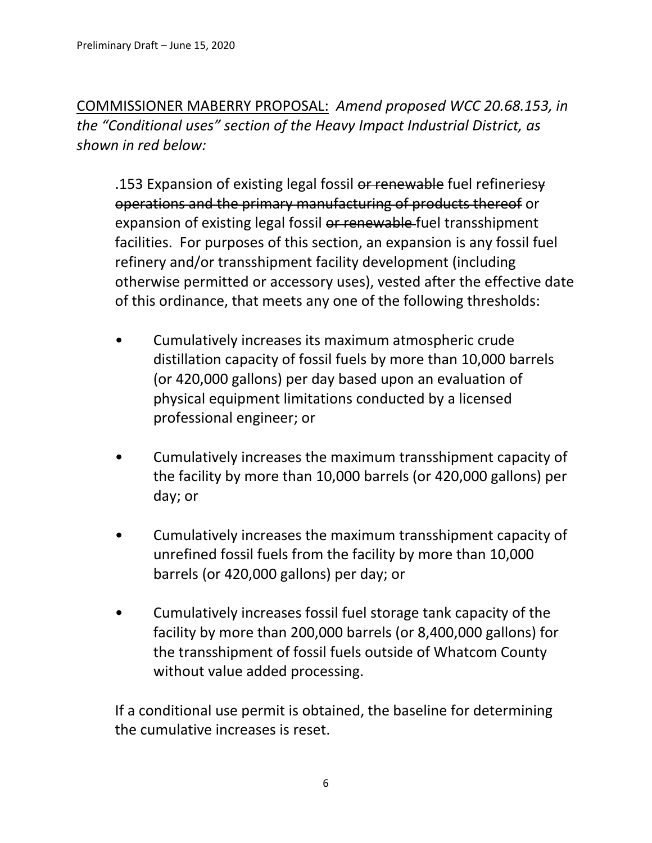COMMISSIONER MABERRY PROPOSAL: *Amend proposed WCC 20.68.153, in the "Conditional uses" section of the Heavy Impact Industrial District, as shown in red below:*

.153 Expansion of existing legal fossil or renewable fuel refineries operations and the primary manufacturing of products thereof or expansion of existing legal fossil or renewable fuel transshipment facilities. For purposes of this section, an expansion is any fossil fuel refinery and/or transshipment facility development (including otherwise permitted or accessory uses), vested after the effective date of this ordinance, that meets any one of the following thresholds:

- Cumulatively increases its maximum atmospheric crude distillation capacity of fossil fuels by more than 10,000 barrels (or 420,000 gallons) per day based upon an evaluation of physical equipment limitations conducted by a licensed professional engineer; or
- Cumulatively increases the maximum transshipment capacity of the facility by more than 10,000 barrels (or 420,000 gallons) per day; or
- Cumulatively increases the maximum transshipment capacity of unrefined fossil fuels from the facility by more than 10,000 barrels (or 420,000 gallons) per day; or
- Cumulatively increases fossil fuel storage tank capacity of the facility by more than 200,000 barrels (or 8,400,000 gallons) for the transshipment of fossil fuels outside of Whatcom County without value added processing.

If a conditional use permit is obtained, the baseline for determining the cumulative increases is reset.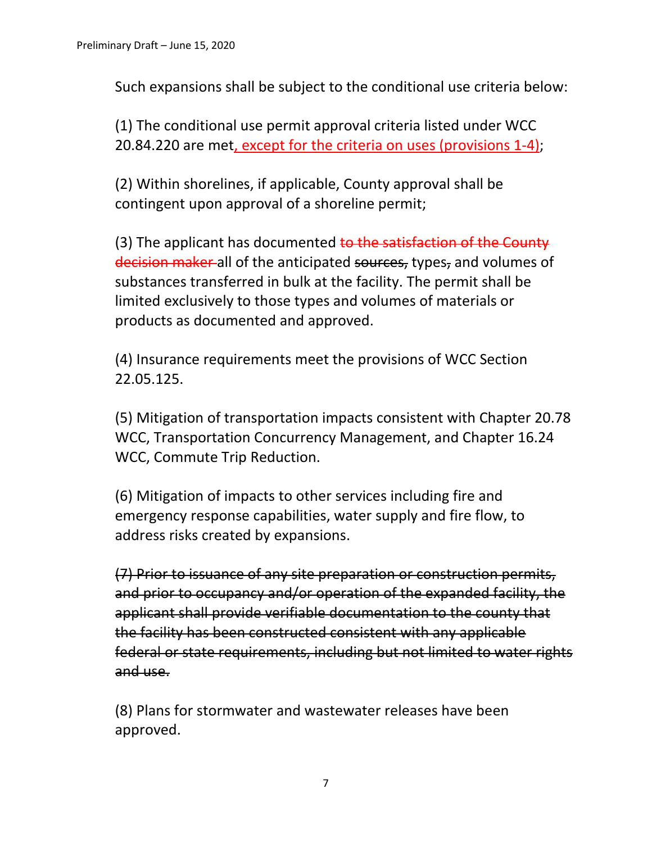Such expansions shall be subject to the conditional use criteria below:

(1) The conditional use permit approval criteria listed under WCC 20.84.220 are met, except for the criteria on uses (provisions 1-4);

(2) Within shorelines, if applicable, County approval shall be contingent upon approval of a shoreline permit;

(3) The applicant has documented to the satisfaction of the County decision maker all of the anticipated sources, types, and volumes of substances transferred in bulk at the facility. The permit shall be limited exclusively to those types and volumes of materials or products as documented and approved.

(4) Insurance requirements meet the provisions of WCC Section 22.05.125.

(5) Mitigation of transportation impacts consistent with Chapter 20.78 WCC, Transportation Concurrency Management, and Chapter 16.24 WCC, Commute Trip Reduction.

(6) Mitigation of impacts to other services including fire and emergency response capabilities, water supply and fire flow, to address risks created by expansions.

(7) Prior to issuance of any site preparation or construction permits, and prior to occupancy and/or operation of the expanded facility, the applicant shall provide verifiable documentation to the county that the facility has been constructed consistent with any applicable federal or state requirements, including but not limited to water rights and use.

(8) Plans for stormwater and wastewater releases have been approved.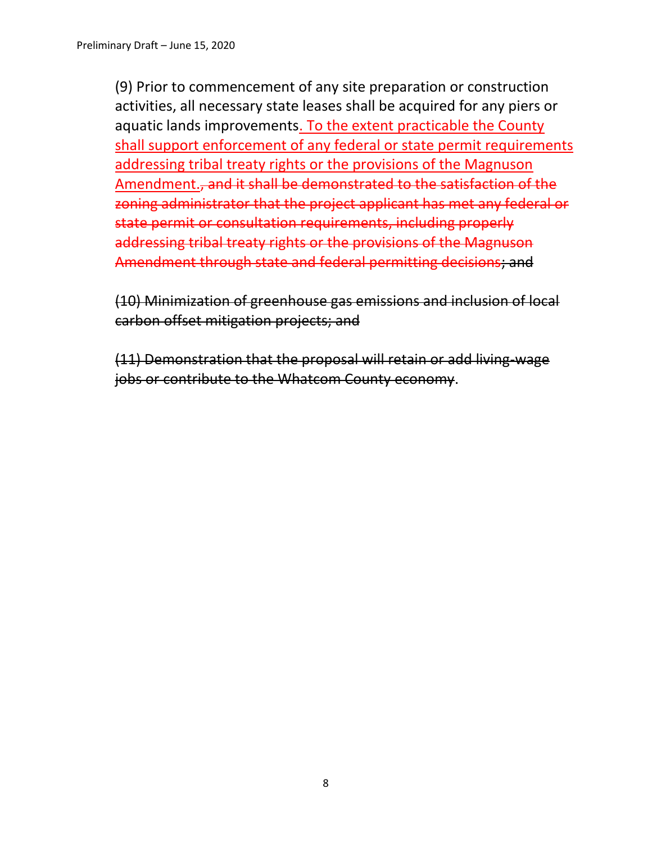(9) Prior to commencement of any site preparation or construction activities, all necessary state leases shall be acquired for any piers or aquatic lands improvements. To the extent practicable the County shall support enforcement of any federal or state permit requirements addressing tribal treaty rights or the provisions of the Magnuson Amendment., and it shall be demonstrated to the satisfaction of the zoning administrator that the project applicant has met any federal or state permit or consultation requirements, including properly addressing tribal treaty rights or the provisions of the Magnuson Amendment through state and federal permitting decisions; and

(10) Minimization of greenhouse gas emissions and inclusion of local carbon offset mitigation projects; and

(11) Demonstration that the proposal will retain or add living-wage jobs or contribute to the Whatcom County economy.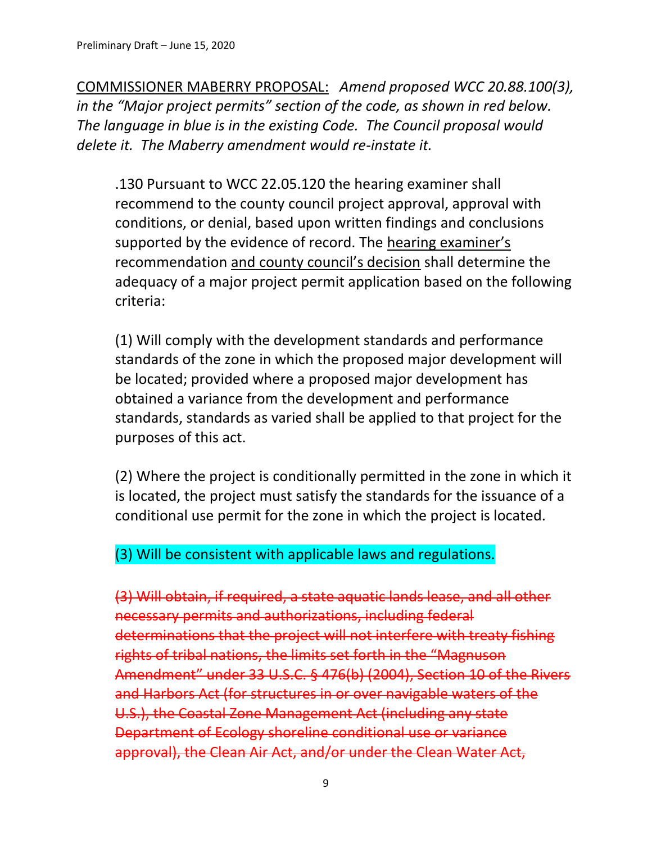COMMISSIONER MABERRY PROPOSAL: *Amend proposed WCC 20.88.100(3), in the "Major project permits" section of the code, as shown in red below. The language in blue is in the existing Code. The Council proposal would delete it. The Maberry amendment would re-instate it.*

.130 Pursuant to WCC 22.05.120 the hearing examiner shall recommend to the county council project approval, approval with conditions, or denial, based upon written findings and conclusions supported by the evidence of record. The hearing examiner's recommendation and county council's decision shall determine the adequacy of a major project permit application based on the following criteria:

(1) Will comply with the development standards and performance standards of the zone in which the proposed major development will be located; provided where a proposed major development has obtained a variance from the development and performance standards, standards as varied shall be applied to that project for the purposes of this act.

(2) Where the project is conditionally permitted in the zone in which it is located, the project must satisfy the standards for the issuance of a conditional use permit for the zone in which the project is located.

#### (3) Will be consistent with applicable laws and regulations.

(3) Will obtain, if required, a state aquatic lands lease, and all other necessary permits and authorizations, including federal determinations that the project will not interfere with treaty fishing rights of tribal nations, the limits set forth in the "Magnuson Amendment" under 33 U.S.C. § 476(b) (2004), Section 10 of the Rivers and Harbors Act (for structures in or over navigable waters of the U.S.), the Coastal Zone Management Act (including any state Department of Ecology shoreline conditional use or variance approval), the Clean Air Act, and/or under the Clean Water Act,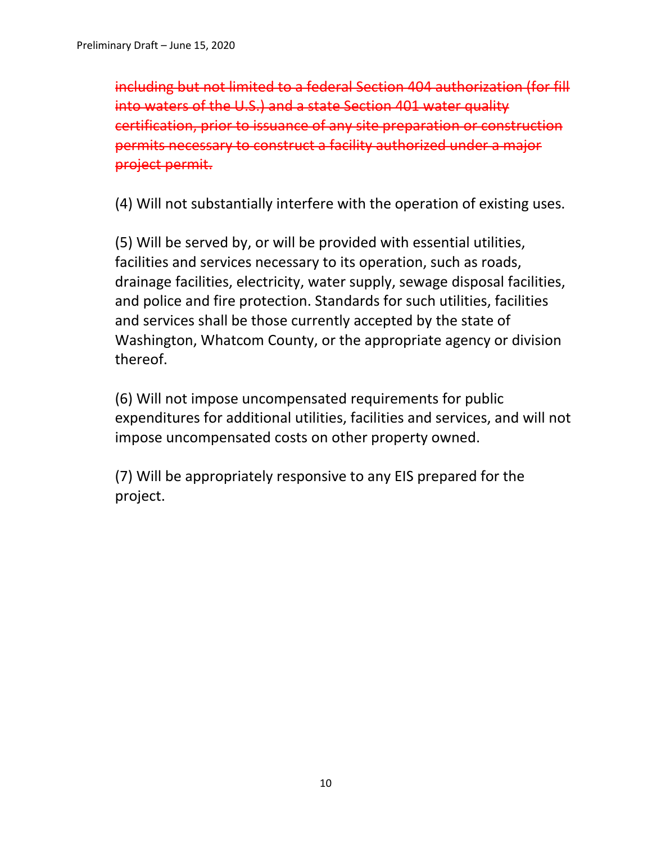including but not limited to a federal Section 404 authorization (for fill into waters of the U.S.) and a state Section 401 water quality certification, prior to issuance of any site preparation or construction permits necessary to construct a facility authorized under a major project permit.

(4) Will not substantially interfere with the operation of existing uses.

(5) Will be served by, or will be provided with essential utilities, facilities and services necessary to its operation, such as roads, drainage facilities, electricity, water supply, sewage disposal facilities, and police and fire protection. Standards for such utilities, facilities and services shall be those currently accepted by the state of Washington, Whatcom County, or the appropriate agency or division thereof.

(6) Will not impose uncompensated requirements for public expenditures for additional utilities, facilities and services, and will not impose uncompensated costs on other property owned.

(7) Will be appropriately responsive to any EIS prepared for the project.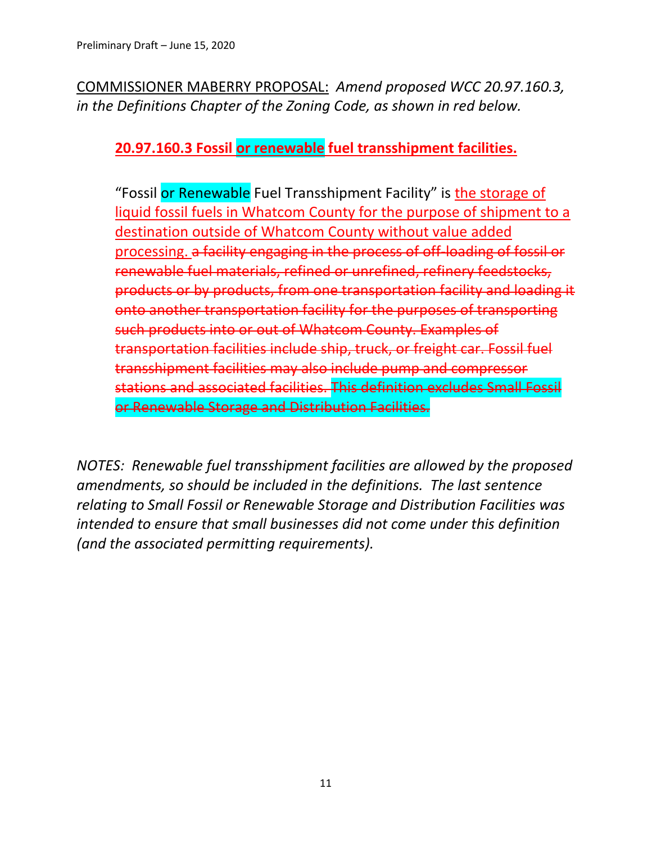COMMISSIONER MABERRY PROPOSAL: *Amend proposed WCC 20.97.160.3, in the Definitions Chapter of the Zoning Code, as shown in red below.* 

#### **20.97.160.3 Fossil or renewable fuel transshipment facilities.**

"Fossil or Renewable Fuel Transshipment Facility" is the storage of liquid fossil fuels in Whatcom County for the purpose of shipment to a destination outside of Whatcom County without value added processing. a facility engaging in the process of off-loading of fossil or renewable fuel materials, refined or unrefined, refinery feedstocks, products or by products, from one transportation facility and loading it onto another transportation facility for the purposes of transporting such products into or out of Whatcom County. Examples of transportation facilities include ship, truck, or freight car. Fossil fuel transshipment facilities may also include pump and compressor stations and associated facilities. This definition excludes Small Fossil or Renewable Storage and Distribution Facilities.

*NOTES: Renewable fuel transshipment facilities are allowed by the proposed amendments, so should be included in the definitions. The last sentence relating to Small Fossil or Renewable Storage and Distribution Facilities was intended to ensure that small businesses did not come under this definition (and the associated permitting requirements).*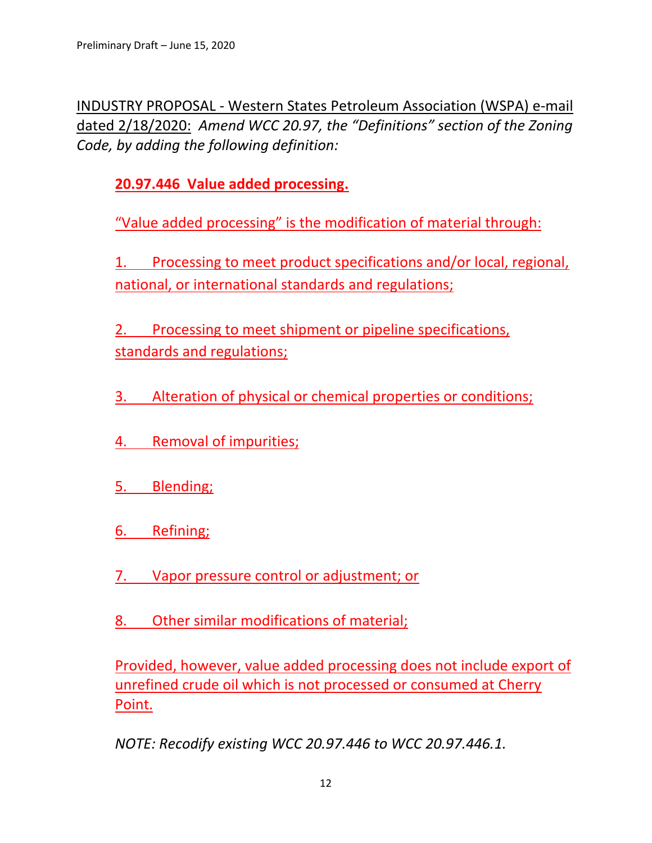INDUSTRY PROPOSAL - Western States Petroleum Association (WSPA) e-mail dated 2/18/2020: *Amend WCC 20.97, the "Definitions" section of the Zoning Code, by adding the following definition:*

**20.97.446 Value added processing.**

"Value added processing" is the modification of material through:

1. Processing to meet product specifications and/or local, regional, national, or international standards and regulations;

2. Processing to meet shipment or pipeline specifications, standards and regulations;

3. Alteration of physical or chemical properties or conditions;

- 4. Removal of impurities;
- 5. Blending;
- 6. Refining;
- 7. Vapor pressure control or adjustment; or
- 8. Other similar modifications of material;

Provided, however, value added processing does not include export of unrefined crude oil which is not processed or consumed at Cherry Point.

*NOTE: Recodify existing WCC 20.97.446 to WCC 20.97.446.1.*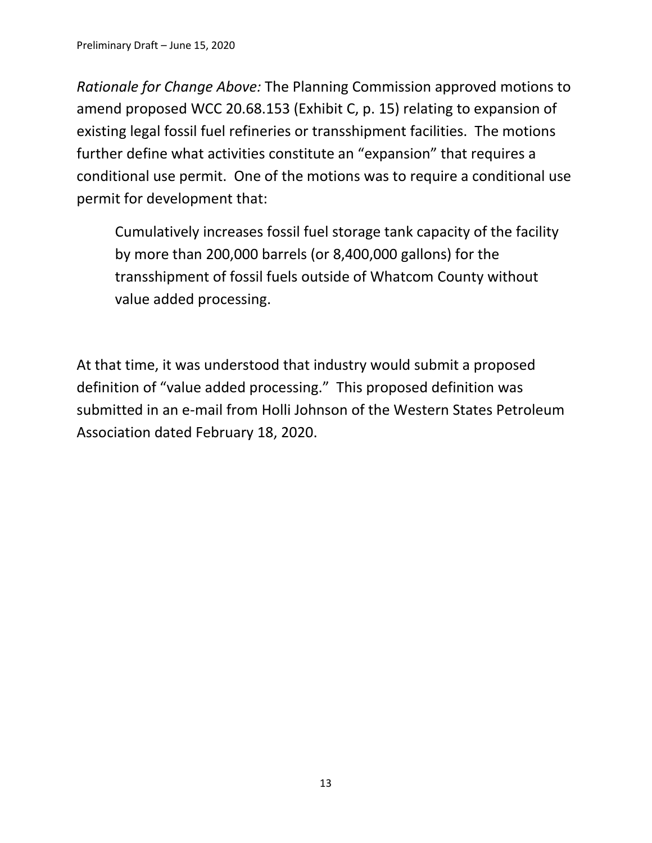*Rationale for Change Above:* The Planning Commission approved motions to amend proposed WCC 20.68.153 (Exhibit C, p. 15) relating to expansion of existing legal fossil fuel refineries or transshipment facilities. The motions further define what activities constitute an "expansion" that requires a conditional use permit. One of the motions was to require a conditional use permit for development that:

Cumulatively increases fossil fuel storage tank capacity of the facility by more than 200,000 barrels (or 8,400,000 gallons) for the transshipment of fossil fuels outside of Whatcom County without value added processing.

At that time, it was understood that industry would submit a proposed definition of "value added processing." This proposed definition was submitted in an e-mail from Holli Johnson of the Western States Petroleum Association dated February 18, 2020.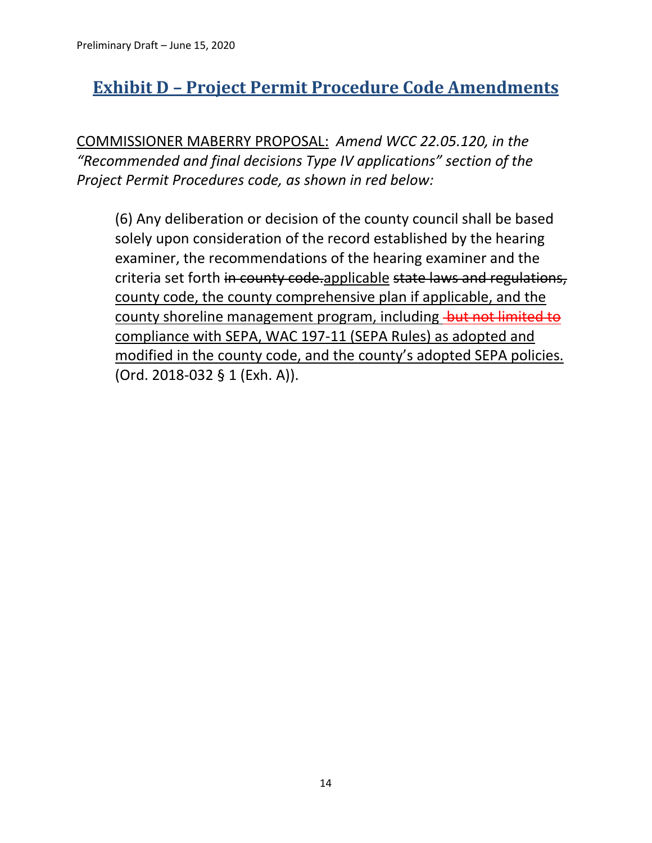# **Exhibit D – Project Permit Procedure Code Amendments**

COMMISSIONER MABERRY PROPOSAL: *Amend WCC 22.05.120, in the "Recommended and final decisions Type IV applications" section of the Project Permit Procedures code, as shown in red below:*

(6) Any deliberation or decision of the county council shall be based solely upon consideration of the record established by the hearing examiner, the recommendations of the hearing examiner and the criteria set forth in county code.applicable state laws and regulations, county code, the county comprehensive plan if applicable, and the county shoreline management program, including but not limited to compliance with SEPA, WAC 197-11 (SEPA Rules) as adopted and modified in the county code, and the county's adopted SEPA policies. (Ord. 2018-032 § 1 (Exh. A)).